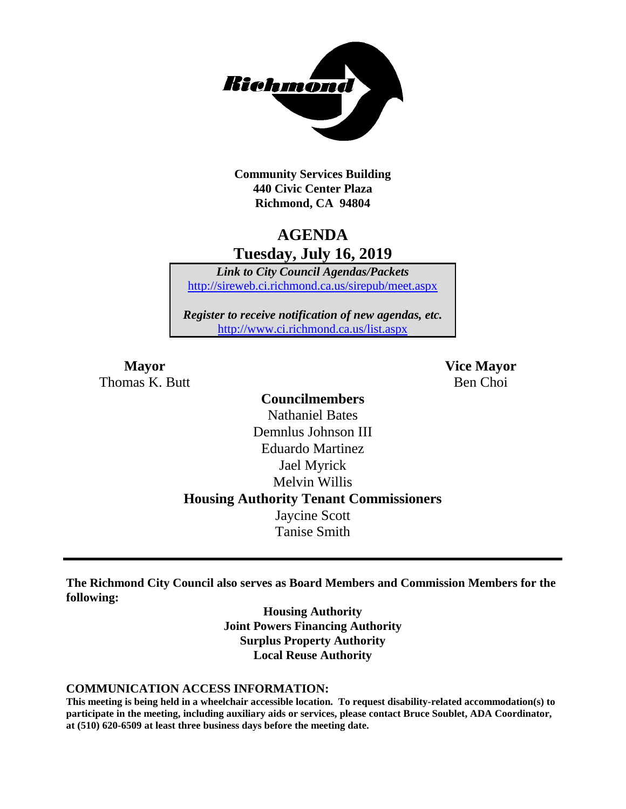

**Community Services Building 440 Civic Center Plaza Richmond, CA 94804**

## **AGENDA Tuesday, July 16, 2019**

*Link to City Council Agendas/Packets* <http://sireweb.ci.richmond.ca.us/sirepub/meet.aspx>

*Register to receive notification of new agendas, etc.* <http://www.ci.richmond.ca.us/list.aspx>

Thomas K. Butt Ben Choi

**Mayor Vice Mayor**

### **Councilmembers** Nathaniel Bates Demnlus Johnson III Eduardo Martinez Jael Myrick Melvin Willis **Housing Authority Tenant Commissioners** Jaycine Scott Tanise Smith

**The Richmond City Council also serves as Board Members and Commission Members for the following:**

> **Housing Authority Joint Powers Financing Authority Surplus Property Authority Local Reuse Authority**

#### **COMMUNICATION ACCESS INFORMATION:**

**This meeting is being held in a wheelchair accessible location. To request disability-related accommodation(s) to participate in the meeting, including auxiliary aids or services, please contact Bruce Soublet, ADA Coordinator, at (510) 620-6509 at least three business days before the meeting date.**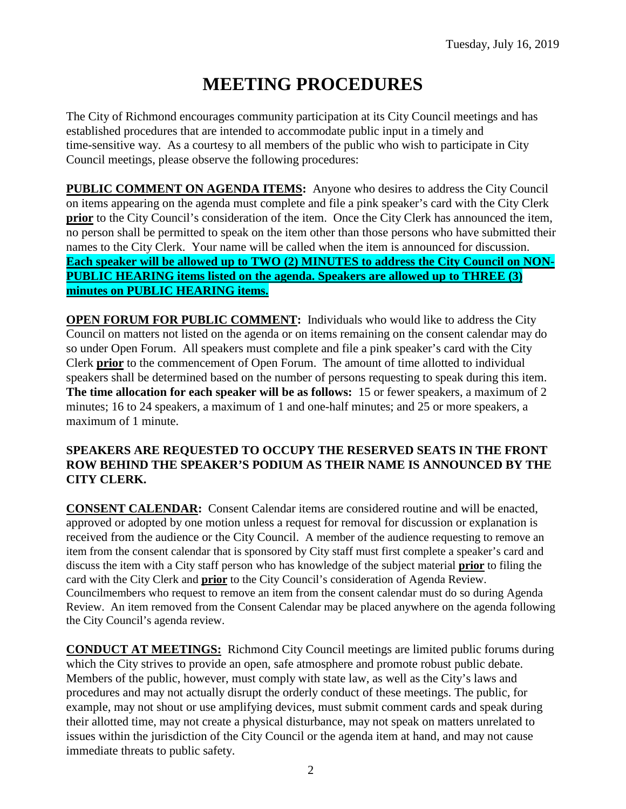# **MEETING PROCEDURES**

The City of Richmond encourages community participation at its City Council meetings and has established procedures that are intended to accommodate public input in a timely and time-sensitive way. As a courtesy to all members of the public who wish to participate in City Council meetings, please observe the following procedures:

**PUBLIC COMMENT ON AGENDA ITEMS:** Anyone who desires to address the City Council on items appearing on the agenda must complete and file a pink speaker's card with the City Clerk **prior** to the City Council's consideration of the item. Once the City Clerk has announced the item, no person shall be permitted to speak on the item other than those persons who have submitted their names to the City Clerk. Your name will be called when the item is announced for discussion. **Each speaker will be allowed up to TWO (2) MINUTES to address the City Council on NON-PUBLIC HEARING items listed on the agenda. Speakers are allowed up to THREE (3) minutes on PUBLIC HEARING items.**

**OPEN FORUM FOR PUBLIC COMMENT:** Individuals who would like to address the City Council on matters not listed on the agenda or on items remaining on the consent calendar may do so under Open Forum. All speakers must complete and file a pink speaker's card with the City Clerk **prior** to the commencement of Open Forum. The amount of time allotted to individual speakers shall be determined based on the number of persons requesting to speak during this item. **The time allocation for each speaker will be as follows:** 15 or fewer speakers, a maximum of 2 minutes; 16 to 24 speakers, a maximum of 1 and one-half minutes; and 25 or more speakers, a maximum of 1 minute.

#### **SPEAKERS ARE REQUESTED TO OCCUPY THE RESERVED SEATS IN THE FRONT ROW BEHIND THE SPEAKER'S PODIUM AS THEIR NAME IS ANNOUNCED BY THE CITY CLERK.**

**CONSENT CALENDAR:** Consent Calendar items are considered routine and will be enacted, approved or adopted by one motion unless a request for removal for discussion or explanation is received from the audience or the City Council. A member of the audience requesting to remove an item from the consent calendar that is sponsored by City staff must first complete a speaker's card and discuss the item with a City staff person who has knowledge of the subject material **prior** to filing the card with the City Clerk and **prior** to the City Council's consideration of Agenda Review. Councilmembers who request to remove an item from the consent calendar must do so during Agenda Review. An item removed from the Consent Calendar may be placed anywhere on the agenda following the City Council's agenda review.

**CONDUCT AT MEETINGS:** Richmond City Council meetings are limited public forums during which the City strives to provide an open, safe atmosphere and promote robust public debate. Members of the public, however, must comply with state law, as well as the City's laws and procedures and may not actually disrupt the orderly conduct of these meetings. The public, for example, may not shout or use amplifying devices, must submit comment cards and speak during their allotted time, may not create a physical disturbance, may not speak on matters unrelated to issues within the jurisdiction of the City Council or the agenda item at hand, and may not cause immediate threats to public safety.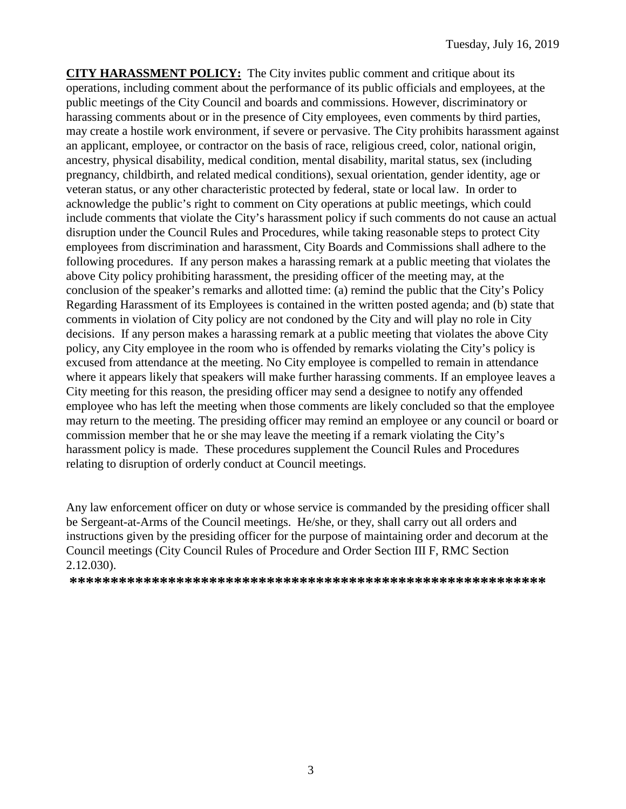**CITY HARASSMENT POLICY:** The City invites public comment and critique about its operations, including comment about the performance of its public officials and employees, at the public meetings of the City Council and boards and commissions. However, discriminatory or harassing comments about or in the presence of City employees, even comments by third parties, may create a hostile work environment, if severe or pervasive. The City prohibits harassment against an applicant, employee, or contractor on the basis of race, religious creed, color, national origin, ancestry, physical disability, medical condition, mental disability, marital status, sex (including pregnancy, childbirth, and related medical conditions), sexual orientation, gender identity, age or veteran status, or any other characteristic protected by federal, state or local law. In order to acknowledge the public's right to comment on City operations at public meetings, which could include comments that violate the City's harassment policy if such comments do not cause an actual disruption under the Council Rules and Procedures, while taking reasonable steps to protect City employees from discrimination and harassment, City Boards and Commissions shall adhere to the following procedures. If any person makes a harassing remark at a public meeting that violates the above City policy prohibiting harassment, the presiding officer of the meeting may, at the conclusion of the speaker's remarks and allotted time: (a) remind the public that the City's Policy Regarding Harassment of its Employees is contained in the written posted agenda; and (b) state that comments in violation of City policy are not condoned by the City and will play no role in City decisions. If any person makes a harassing remark at a public meeting that violates the above City policy, any City employee in the room who is offended by remarks violating the City's policy is excused from attendance at the meeting. No City employee is compelled to remain in attendance where it appears likely that speakers will make further harassing comments. If an employee leaves a City meeting for this reason, the presiding officer may send a designee to notify any offended employee who has left the meeting when those comments are likely concluded so that the employee may return to the meeting. The presiding officer may remind an employee or any council or board or commission member that he or she may leave the meeting if a remark violating the City's harassment policy is made. These procedures supplement the Council Rules and Procedures relating to disruption of orderly conduct at Council meetings.

Any law enforcement officer on duty or whose service is commanded by the presiding officer shall be Sergeant-at-Arms of the Council meetings. He/she, or they, shall carry out all orders and instructions given by the presiding officer for the purpose of maintaining order and decorum at the Council meetings (City Council Rules of Procedure and Order Section III F, RMC Section 2.12.030).

**\*\*\*\*\*\*\*\*\*\*\*\*\*\*\*\*\*\*\*\*\*\*\*\*\*\*\*\*\*\*\*\*\*\*\*\*\*\*\*\*\*\*\*\*\*\*\*\*\*\*\*\*\*\*\*\*\*\***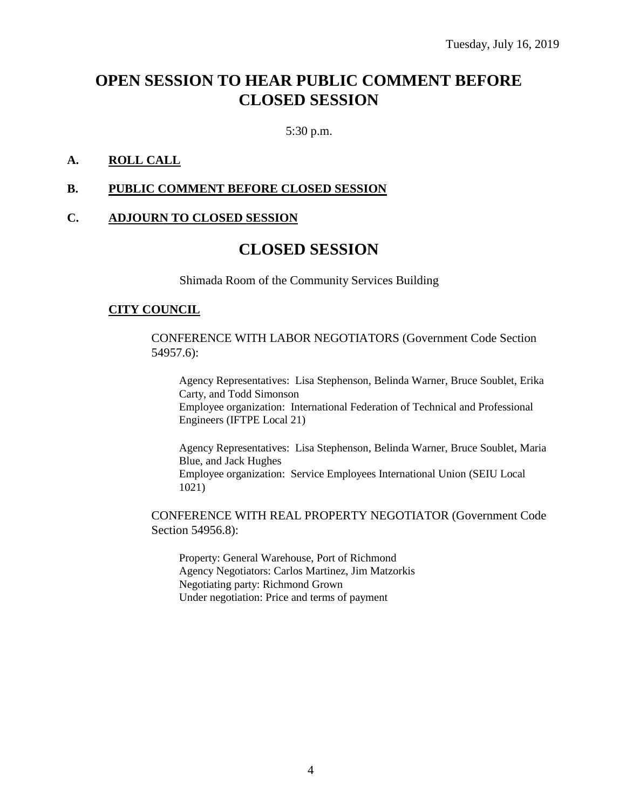## **OPEN SESSION TO HEAR PUBLIC COMMENT BEFORE CLOSED SESSION**

5:30 p.m.

#### **A. ROLL CALL**

#### **B. PUBLIC COMMENT BEFORE CLOSED SESSION**

#### **C. ADJOURN TO CLOSED SESSION**

### **CLOSED SESSION**

Shimada Room of the Community Services Building

#### **CITY COUNCIL**

CONFERENCE WITH LABOR NEGOTIATORS (Government Code Section 54957.6):

Agency Representatives: Lisa Stephenson, Belinda Warner, Bruce Soublet, Erika Carty, and Todd Simonson Employee organization: International Federation of Technical and Professional Engineers (IFTPE Local 21)

Agency Representatives: Lisa Stephenson, Belinda Warner, Bruce Soublet, Maria Blue, and Jack Hughes Employee organization: Service Employees International Union (SEIU Local 1021)

CONFERENCE WITH REAL PROPERTY NEGOTIATOR (Government Code Section 54956.8):

Property: General Warehouse, Port of Richmond Agency Negotiators: Carlos Martinez, Jim Matzorkis Negotiating party: Richmond Grown Under negotiation: Price and terms of payment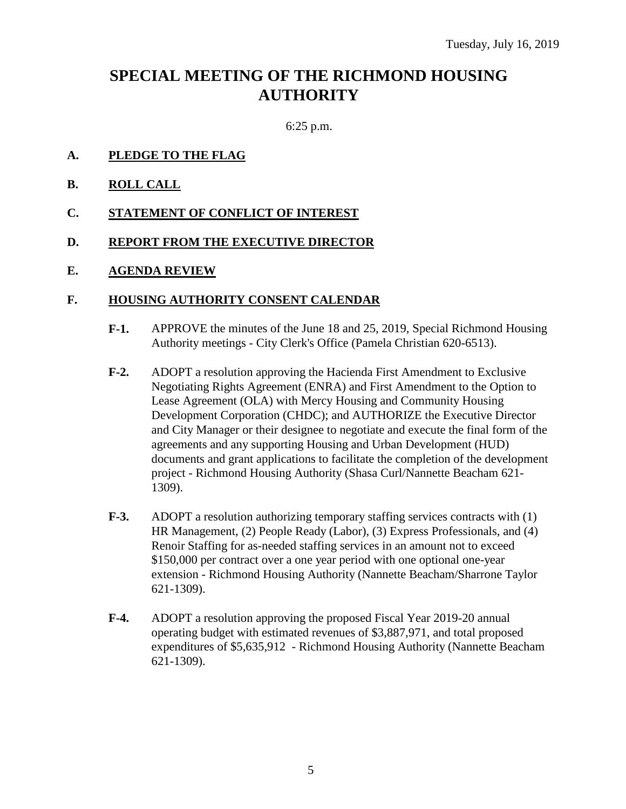## **SPECIAL MEETING OF THE RICHMOND HOUSING AUTHORITY**

6:25 p.m.

#### **A. PLEDGE TO THE FLAG**

- **B. ROLL CALL**
- **C. STATEMENT OF CONFLICT OF INTEREST**

#### **D. REPORT FROM THE EXECUTIVE DIRECTOR**

#### **E. AGENDA REVIEW**

#### **F. HOUSING AUTHORITY CONSENT CALENDAR**

- **F-1.** APPROVE the minutes of the June 18 and 25, 2019, Special Richmond Housing Authority meetings - City Clerk's Office (Pamela Christian 620-6513).
- **F-2.** ADOPT a resolution approving the Hacienda First Amendment to Exclusive Negotiating Rights Agreement (ENRA) and First Amendment to the Option to Lease Agreement (OLA) with Mercy Housing and Community Housing Development Corporation (CHDC); and AUTHORIZE the Executive Director and City Manager or their designee to negotiate and execute the final form of the agreements and any supporting Housing and Urban Development (HUD) documents and grant applications to facilitate the completion of the development project - Richmond Housing Authority (Shasa Curl/Nannette Beacham 621- 1309).
- **F-3.** ADOPT a resolution authorizing temporary staffing services contracts with (1) HR Management, (2) People Ready (Labor), (3) Express Professionals, and (4) Renoir Staffing for as-needed staffing services in an amount not to exceed \$150,000 per contract over a one year period with one optional one-year extension - Richmond Housing Authority (Nannette Beacham/Sharrone Taylor 621-1309).
- **F-4.** ADOPT a resolution approving the proposed Fiscal Year 2019-20 annual operating budget with estimated revenues of \$3,887,971, and total proposed expenditures of \$5,635,912 - Richmond Housing Authority (Nannette Beacham 621-1309).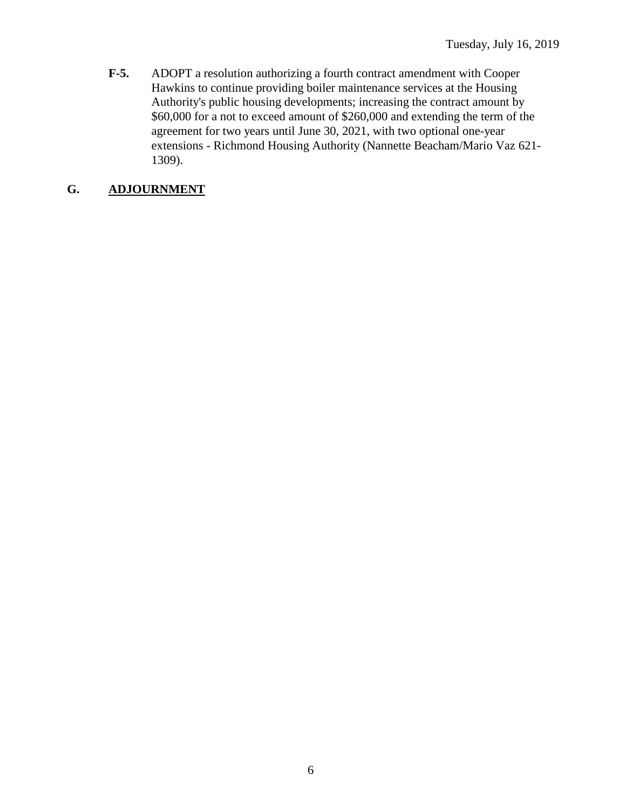**F-5.** ADOPT a resolution authorizing a fourth contract amendment with Cooper Hawkins to continue providing boiler maintenance services at the Housing Authority's public housing developments; increasing the contract amount by \$60,000 for a not to exceed amount of \$260,000 and extending the term of the agreement for two years until June 30, 2021, with two optional one-year extensions - Richmond Housing Authority (Nannette Beacham/Mario Vaz 621- 1309).

### **G. ADJOURNMENT**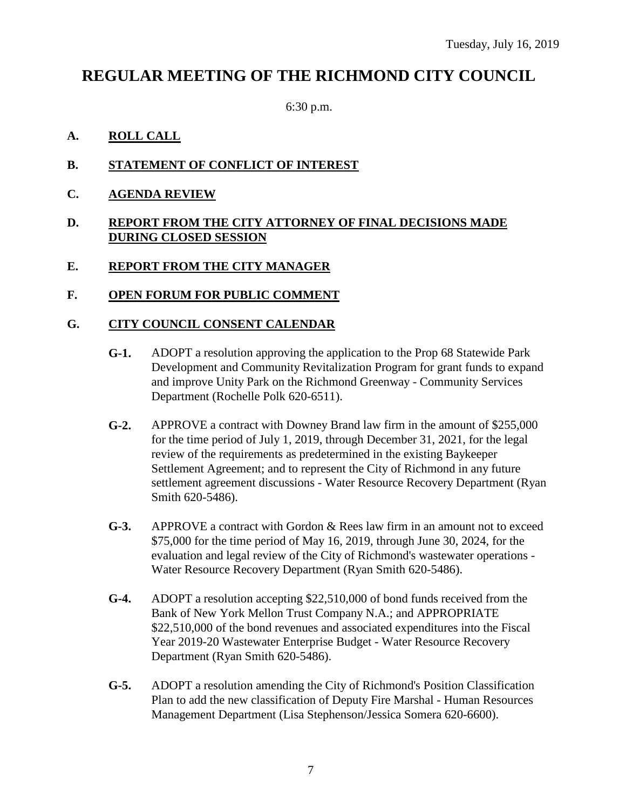## **REGULAR MEETING OF THE RICHMOND CITY COUNCIL**

6:30 p.m.

#### **A. ROLL CALL**

- **B. STATEMENT OF CONFLICT OF INTEREST**
- **C. AGENDA REVIEW**

#### **D. REPORT FROM THE CITY ATTORNEY OF FINAL DECISIONS MADE DURING CLOSED SESSION**

#### **E. REPORT FROM THE CITY MANAGER**

#### **F. OPEN FORUM FOR PUBLIC COMMENT**

#### **G. CITY COUNCIL CONSENT CALENDAR**

- **G-1.** ADOPT a resolution approving the application to the Prop 68 Statewide Park Development and Community Revitalization Program for grant funds to expand and improve Unity Park on the Richmond Greenway - Community Services Department (Rochelle Polk 620-6511).
- **G-2.** APPROVE a contract with Downey Brand law firm in the amount of \$255,000 for the time period of July 1, 2019, through December 31, 2021, for the legal review of the requirements as predetermined in the existing Baykeeper Settlement Agreement; and to represent the City of Richmond in any future settlement agreement discussions - Water Resource Recovery Department (Ryan Smith 620-5486).
- **G-3.** APPROVE a contract with Gordon & Rees law firm in an amount not to exceed \$75,000 for the time period of May 16, 2019, through June 30, 2024, for the evaluation and legal review of the City of Richmond's wastewater operations - Water Resource Recovery Department (Ryan Smith 620-5486).
- **G-4.** ADOPT a resolution accepting \$22,510,000 of bond funds received from the Bank of New York Mellon Trust Company N.A.; and APPROPRIATE \$22,510,000 of the bond revenues and associated expenditures into the Fiscal Year 2019-20 Wastewater Enterprise Budget - Water Resource Recovery Department (Ryan Smith 620-5486).
- **G-5.** ADOPT a resolution amending the City of Richmond's Position Classification Plan to add the new classification of Deputy Fire Marshal - Human Resources Management Department (Lisa Stephenson/Jessica Somera 620-6600).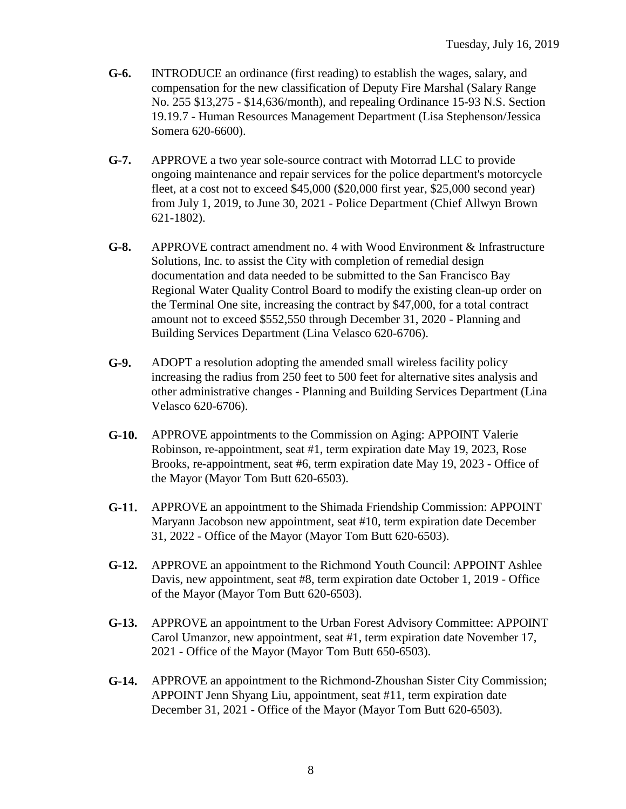- **G-6.** INTRODUCE an ordinance (first reading) to establish the wages, salary, and compensation for the new classification of Deputy Fire Marshal (Salary Range No. 255 \$13,275 - \$14,636/month), and repealing Ordinance 15-93 N.S. Section 19.19.7 - Human Resources Management Department (Lisa Stephenson/Jessica Somera 620-6600).
- **G-7.** APPROVE a two year sole-source contract with Motorrad LLC to provide ongoing maintenance and repair services for the police department's motorcycle fleet, at a cost not to exceed \$45,000 (\$20,000 first year, \$25,000 second year) from July 1, 2019, to June 30, 2021 - Police Department (Chief Allwyn Brown 621-1802).
- **G-8.** APPROVE contract amendment no. 4 with Wood Environment & Infrastructure Solutions, Inc. to assist the City with completion of remedial design documentation and data needed to be submitted to the San Francisco Bay Regional Water Quality Control Board to modify the existing clean-up order on the Terminal One site, increasing the contract by \$47,000, for a total contract amount not to exceed \$552,550 through December 31, 2020 - Planning and Building Services Department (Lina Velasco 620-6706).
- **G-9.** ADOPT a resolution adopting the amended small wireless facility policy increasing the radius from 250 feet to 500 feet for alternative sites analysis and other administrative changes - Planning and Building Services Department (Lina Velasco 620-6706).
- **G-10.** APPROVE appointments to the Commission on Aging: APPOINT Valerie Robinson, re-appointment, seat #1, term expiration date May 19, 2023, Rose Brooks, re-appointment, seat #6, term expiration date May 19, 2023 - Office of the Mayor (Mayor Tom Butt 620-6503).
- **G-11.** APPROVE an appointment to the Shimada Friendship Commission: APPOINT Maryann Jacobson new appointment, seat #10, term expiration date December 31, 2022 - Office of the Mayor (Mayor Tom Butt 620-6503).
- **G-12.** APPROVE an appointment to the Richmond Youth Council: APPOINT Ashlee Davis, new appointment, seat #8, term expiration date October 1, 2019 - Office of the Mayor (Mayor Tom Butt 620-6503).
- **G-13.** APPROVE an appointment to the Urban Forest Advisory Committee: APPOINT Carol Umanzor, new appointment, seat #1, term expiration date November 17, 2021 - Office of the Mayor (Mayor Tom Butt 650-6503).
- **G-14.** APPROVE an appointment to the Richmond-Zhoushan Sister City Commission; APPOINT Jenn Shyang Liu, appointment, seat #11, term expiration date December 31, 2021 - Office of the Mayor (Mayor Tom Butt 620-6503).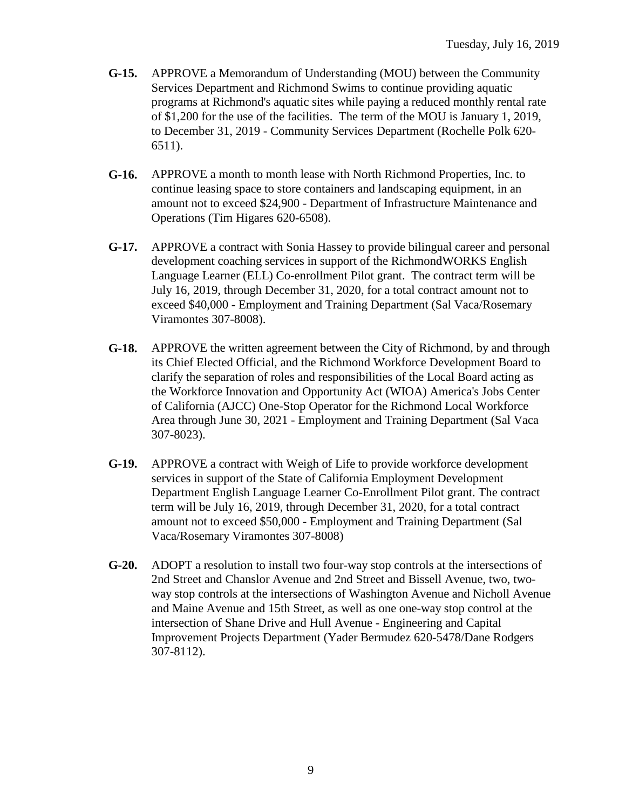- **G-15.** APPROVE a Memorandum of Understanding (MOU) between the Community Services Department and Richmond Swims to continue providing aquatic programs at Richmond's aquatic sites while paying a reduced monthly rental rate of \$1,200 for the use of the facilities. The term of the MOU is January 1, 2019, to December 31, 2019 - Community Services Department (Rochelle Polk 620- 6511).
- **G-16.** APPROVE a month to month lease with North Richmond Properties, Inc. to continue leasing space to store containers and landscaping equipment, in an amount not to exceed \$24,900 - Department of Infrastructure Maintenance and Operations (Tim Higares 620-6508).
- **G-17.** APPROVE a contract with Sonia Hassey to provide bilingual career and personal development coaching services in support of the RichmondWORKS English Language Learner (ELL) Co-enrollment Pilot grant. The contract term will be July 16, 2019, through December 31, 2020, for a total contract amount not to exceed \$40,000 - Employment and Training Department (Sal Vaca/Rosemary Viramontes 307-8008).
- **G-18.** APPROVE the written agreement between the City of Richmond, by and through its Chief Elected Official, and the Richmond Workforce Development Board to clarify the separation of roles and responsibilities of the Local Board acting as the Workforce Innovation and Opportunity Act (WIOA) America's Jobs Center of California (AJCC) One-Stop Operator for the Richmond Local Workforce Area through June 30, 2021 - Employment and Training Department (Sal Vaca 307-8023).
- **G-19.** APPROVE a contract with Weigh of Life to provide workforce development services in support of the State of California Employment Development Department English Language Learner Co-Enrollment Pilot grant. The contract term will be July 16, 2019, through December 31, 2020, for a total contract amount not to exceed \$50,000 - Employment and Training Department (Sal Vaca/Rosemary Viramontes 307-8008)
- **G-20.** ADOPT a resolution to install two four-way stop controls at the intersections of 2nd Street and Chanslor Avenue and 2nd Street and Bissell Avenue, two, twoway stop controls at the intersections of Washington Avenue and Nicholl Avenue and Maine Avenue and 15th Street, as well as one one-way stop control at the intersection of Shane Drive and Hull Avenue - Engineering and Capital Improvement Projects Department (Yader Bermudez 620-5478/Dane Rodgers 307-8112).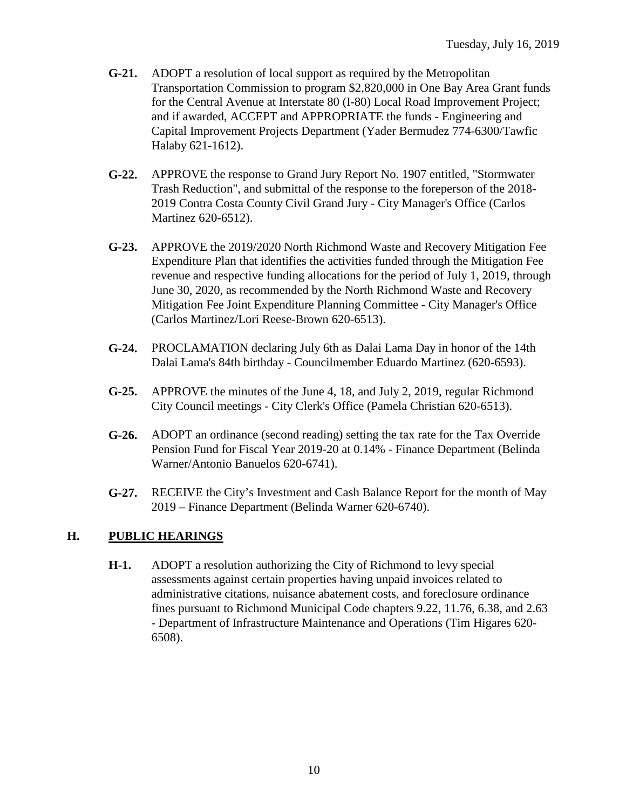- **G-21.** ADOPT a resolution of local support as required by the Metropolitan Transportation Commission to program \$2,820,000 in One Bay Area Grant funds for the Central Avenue at Interstate 80 (I-80) Local Road Improvement Project; and if awarded, ACCEPT and APPROPRIATE the funds - Engineering and Capital Improvement Projects Department (Yader Bermudez 774-6300/Tawfic Halaby 621-1612).
- **G-22.** APPROVE the response to Grand Jury Report No. 1907 entitled, "Stormwater Trash Reduction", and submittal of the response to the foreperson of the 2018- 2019 Contra Costa County Civil Grand Jury - City Manager's Office (Carlos Martinez 620-6512).
- **G-23.** APPROVE the 2019/2020 North Richmond Waste and Recovery Mitigation Fee Expenditure Plan that identifies the activities funded through the Mitigation Fee revenue and respective funding allocations for the period of July 1, 2019, through June 30, 2020, as recommended by the North Richmond Waste and Recovery Mitigation Fee Joint Expenditure Planning Committee - City Manager's Office (Carlos Martinez/Lori Reese-Brown 620-6513).
- **G-24.** PROCLAMATION declaring July 6th as Dalai Lama Day in honor of the 14th Dalai Lama's 84th birthday - Councilmember Eduardo Martinez (620-6593).
- **G-25.** APPROVE the minutes of the June 4, 18, and July 2, 2019, regular Richmond City Council meetings - City Clerk's Office (Pamela Christian 620-6513).
- **G-26.** ADOPT an ordinance (second reading) setting the tax rate for the Tax Override Pension Fund for Fiscal Year 2019-20 at 0.14% - Finance Department (Belinda Warner/Antonio Banuelos 620-6741).
- **G-27.** RECEIVE the City's Investment and Cash Balance Report for the month of May 2019 – Finance Department (Belinda Warner 620-6740).

#### **H. PUBLIC HEARINGS**

**H-1.** ADOPT a resolution authorizing the City of Richmond to levy special assessments against certain properties having unpaid invoices related to administrative citations, nuisance abatement costs, and foreclosure ordinance fines pursuant to Richmond Municipal Code chapters 9.22, 11.76, 6.38, and 2.63 - Department of Infrastructure Maintenance and Operations (Tim Higares 620- 6508).